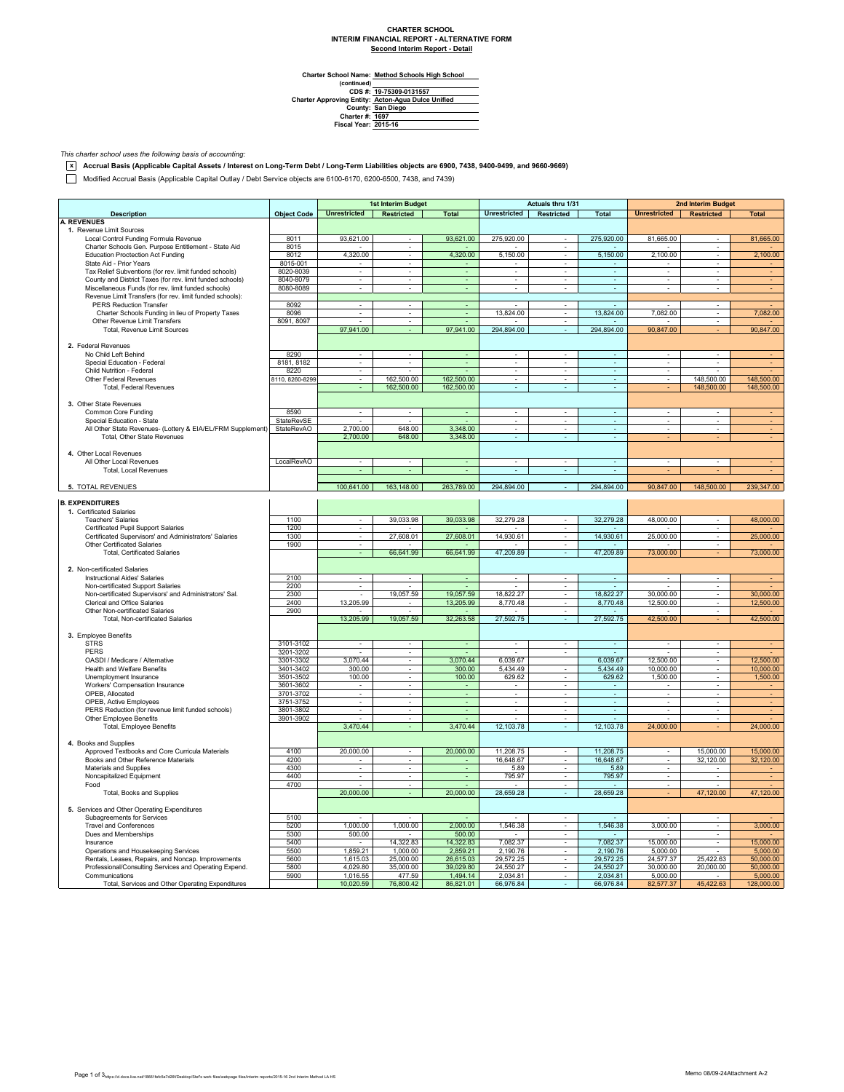## **CHARTER SCHOOL INTERIM FINANCIAL REPORT - ALTERNATIVE FORM Second Interim Report - Detail**

 $\overline{\phantom{0}}$ 

**Method Schools High School**

Charter School Name<br>
(continued)<br>
CDS #:<br>
Charter Approving Entity:<br>
County:<br>
Charter #:<br>
Fiscal Year: **San Diego 1697 2015-16 19-75309-0131557 Acton-Agua Dulce Unified**

*This charter school uses the following basis of accounting:*

**x Accrual Basis (Applicable Capital Assets / Interest on Long-Term Debt / Long-Term Liabilities objects are 6900, 7438, 9400-9499, and 9660-9669)**

Modified Accrual Basis (Applicable Capital Outlay / Debt Service objects are 6100-6170, 6200-6500, 7438, and 7439)

|                                                             |                        | 1st Interim Budget                 |                             | Actuals thru 1/31        |                             |                             | <b>2nd Interim Budget</b> |                          |                          |              |
|-------------------------------------------------------------|------------------------|------------------------------------|-----------------------------|--------------------------|-----------------------------|-----------------------------|---------------------------|--------------------------|--------------------------|--------------|
| <b>Description</b>                                          | <b>Object Code</b>     | <b>Unrestricted</b>                | Restricted                  | <b>Total</b>             | <b>Unrestricted</b>         | Restricted                  | <b>Total</b>              | Unrestricted             | Restricted               | <b>Total</b> |
| <b>A. REVENUES</b>                                          |                        |                                    |                             |                          |                             |                             |                           |                          |                          |              |
| 1. Revenue Limit Sources                                    |                        |                                    |                             |                          |                             |                             |                           |                          |                          |              |
| Local Control Funding Formula Revenue                       | 8011                   | 93,621.00                          | $\sim$                      | 93,621.00                | 275,920.00                  | $\sim$                      | 275,920.00                | 81,665.00                |                          | 81,665.00    |
| Charter Schools Gen. Purpose Entitlement - State Aid        | 8015                   |                                    |                             |                          |                             |                             |                           |                          |                          |              |
| <b>Education Proctection Act Funding</b>                    | 8012                   | 4,320.00                           | $\sim$                      | 4,320.00                 | 5,150.00                    | $\sim$                      | 5,150.00                  | 2,100.00                 | ÷                        | 2,100.00     |
| State Aid - Prior Years                                     | 8015-001               |                                    | $\overline{\phantom{a}}$    |                          |                             |                             |                           |                          | $\overline{\phantom{a}}$ |              |
| Tax Relief Subventions (for rev. limit funded schools)      | 8020-8039              | $\overline{\phantom{a}}$           | $\sim$                      | $\blacksquare$           | $\overline{\phantom{a}}$    | $\sim$                      | $\sim$                    | $\sim$                   | $\overline{\phantom{a}}$ |              |
| County and District Taxes (for rev. limit funded schools)   | 8040-8079              | $\overline{\phantom{a}}$           | $\overline{\phantom{a}}$    | Ξ                        | $\overline{\phantom{a}}$    | $\overline{\phantom{a}}$    | ÷,                        | $\overline{\phantom{a}}$ | ÷                        |              |
| Miscellaneous Funds (for rev. limit funded schools)         | 8080-8089              | $\blacksquare$                     | $\sim$                      | $\omega$                 | $\blacksquare$              | $\blacksquare$              | $\omega$                  | $\sim$                   | ×.                       |              |
| Revenue Limit Transfers (for rev. limit funded schools):    |                        |                                    |                             |                          |                             |                             |                           |                          |                          |              |
| <b>PERS Reduction Transfer</b>                              | 8092                   | $\mathcal{L}_{\mathcal{A}}$        | $\sim$                      | $\omega$                 |                             | $\sim$                      |                           |                          | $\overline{\phantom{a}}$ |              |
| Charter Schools Funding in lieu of Property Taxes           | 8096                   | ٠                                  | ٠                           | $\overline{\phantom{a}}$ | 13,824.00                   | $\overline{\phantom{a}}$    | 13,824.00                 | 7,082.00                 | $\overline{\phantom{a}}$ | 7,082.00     |
| Other Revenue Limit Transfers                               | 8091, 8097             |                                    |                             |                          |                             |                             |                           |                          |                          |              |
| Total, Revenue Limit Sources                                |                        | 97,941.00                          |                             | 97,941.00                | 294,894.00                  | ÷.                          | 294,894.00                | 90,847.00                |                          | 90,847.00    |
|                                                             |                        |                                    |                             |                          |                             |                             |                           |                          |                          |              |
| 2. Federal Revenues                                         |                        |                                    |                             |                          |                             |                             |                           |                          |                          |              |
| No Child Left Behind                                        | 8290                   | $\sim$                             | $\sim$                      | $\sim$                   | $\blacksquare$              | $\mathcal{L}_{\mathcal{A}}$ | ÷.                        | $\sim$                   | $\sim$                   |              |
| Special Education - Federal                                 | 8181, 8182             |                                    |                             |                          |                             |                             |                           |                          |                          |              |
| Child Nutrition - Federal                                   | 8220                   | $\blacksquare$                     |                             |                          | $\blacksquare$              | $\sim$                      | ÷                         | $\sim$                   |                          |              |
| Other Federal Revenues                                      | 8110, 8260-8299        | ÷.                                 | 162.500.00                  | 162,500.00               | $\mathbf{r}$                | ÷                           | $\mathbb{Z}^2$            |                          | 148.500.00               | 148,500.00   |
| <b>Total, Federal Revenues</b>                              |                        | $\overline{\phantom{a}}$           | 162,500.00                  | 162,500.00               | ä,                          | $\omega$                    | $\omega$                  |                          | 148,500.00               | 148,500.00   |
|                                                             |                        |                                    |                             |                          |                             |                             |                           |                          |                          |              |
| 3. Other State Revenues                                     |                        |                                    |                             |                          |                             |                             |                           |                          |                          |              |
| Common Core Funding                                         | 8590                   | ÷                                  | ÷                           |                          | $\sim$                      | ÷                           | $\sim$                    | ÷.                       | $\sim$                   |              |
| Special Education - State                                   | StateRevSE             |                                    |                             |                          |                             |                             | ÷                         |                          |                          |              |
| All Other State Revenues- (Lottery & EIA/EL/FRM Supplement) | StateRevAO             | 2,700.00                           | 648.00                      | 3,348.00                 | $\blacksquare$              | ÷                           | $\omega$                  | ÷.                       | ×,                       |              |
| Total, Other State Revenues                                 |                        | 2,700.00                           | 648.00                      | 3,348.00                 |                             |                             | $\epsilon$                |                          |                          |              |
|                                                             |                        |                                    |                             |                          |                             |                             |                           |                          |                          |              |
| 4. Other Local Revenues                                     |                        |                                    |                             |                          |                             |                             |                           |                          |                          |              |
| All Other Local Revenues                                    | LocalRevAO             |                                    |                             | ÷,                       | $\mathcal{L}_{\mathcal{A}}$ | ×                           | $\mathbb{Z}^2$            |                          |                          |              |
| Total, Local Revenues                                       |                        |                                    |                             | $\overline{\phantom{a}}$ |                             | ٠                           |                           |                          |                          |              |
|                                                             |                        |                                    |                             |                          |                             |                             |                           |                          |                          |              |
| 5. TOTAL REVENUES                                           |                        | 100,641.00                         | 163,148.00                  | 263,789.00               | 294,894.00                  |                             | 294,894.00                | 90,847.00                | 148,500.00               | 239,347.00   |
|                                                             |                        |                                    |                             |                          |                             |                             |                           |                          |                          |              |
| <b>B. EXPENDITURES</b>                                      |                        |                                    |                             |                          |                             |                             |                           |                          |                          |              |
| 1. Certificated Salaries                                    |                        |                                    |                             |                          |                             |                             |                           |                          |                          |              |
| <b>Teachers' Salaries</b>                                   | 1100                   | $\overline{\phantom{a}}$           | 39,033.98                   | 39,033.98                | 32,279.28                   |                             | 32,279.28                 | 48,000.00                |                          | 48,000.00    |
| Certificated Pupil Support Salaries                         | 1200                   | $\overline{\phantom{a}}$           |                             |                          |                             |                             |                           |                          | $\overline{\phantom{a}}$ |              |
| Certificated Supervisors' and Administrators' Salaries      | 1300                   | ×.                                 | 27.608.01                   | 27,608.01                | 14.930.61                   | ÷.                          | 14.930.61                 | 25,000.00                | ÷                        | 25,000.00    |
| <b>Other Certificated Salaries</b>                          | 1900                   | $\blacksquare$                     |                             |                          |                             | $\overline{\phantom{a}}$    |                           |                          | $\overline{\phantom{a}}$ |              |
| <b>Total, Certificated Salaries</b>                         |                        | $\overline{\phantom{a}}$           | 66,641.99                   | 66,641.99                | 47,209.89                   | $\overline{\phantom{a}}$    | 47,209.89                 | 73,000.00                |                          | 73,000.00    |
|                                                             |                        |                                    |                             |                          |                             |                             |                           |                          |                          |              |
| 2. Non-certificated Salaries                                |                        |                                    |                             |                          |                             |                             |                           |                          |                          |              |
| <b>Instructional Aides' Salaries</b>                        | 2100                   | ÷.                                 | $\mathcal{L}_{\mathcal{A}}$ | $\omega$                 | ÷                           | ÷                           | ÷.                        | $\sim$                   | ÷                        |              |
| Non-certificated Support Salaries                           | 2200                   | ÷.                                 |                             |                          |                             | $\blacksquare$              |                           |                          | ÷.                       |              |
| Non-certificated Supervisors' and Administrators' Sal.      | 2300                   | $\sim$                             | 19.057.59                   | 19.057.59                | 18,822.27                   | $\sim$                      | 18,822,27                 | 30,000.00                | $\overline{\phantom{a}}$ | 30,000.00    |
| Clerical and Office Salaries                                | 2400                   | 13,205.99                          |                             | 13,205.99                | 8,770.48                    |                             | 8,770.48                  | 12,500.00                |                          | 12,500.00    |
| Other Non-certificated Salaries                             | 2900                   |                                    |                             |                          |                             | $\sim$                      |                           |                          | ÷.                       |              |
| Total, Non-certificated Salaries                            |                        | 13,205.99                          | 19,057.59                   | 32,263.58                | 27,592.75                   | ÷.                          | 27,592.75                 | 42,500.00                |                          | 42,500.00    |
|                                                             |                        |                                    |                             |                          |                             |                             |                           |                          |                          |              |
| 3. Employee Benefits                                        |                        |                                    |                             |                          |                             |                             |                           |                          |                          |              |
| <b>STRS</b>                                                 | 3101-3102              | $\blacksquare$                     | $\bar{\phantom{a}}$         |                          | $\blacksquare$              | $\overline{\phantom{a}}$    | $\omega$                  | $\blacksquare$           |                          |              |
| PERS                                                        | 3201-3202              |                                    | $\bar{\phantom{a}}$         |                          |                             | $\omega$                    |                           |                          | ×                        |              |
| OASDI / Medicare / Alternative                              | 3301-3302              | 3,070.44                           | $\mathcal{L}^{\mathcal{L}}$ | 3,070.44                 | 6,039.67                    |                             | 6,039.67                  | 12,500.00                | $\sim$                   | 12,500.00    |
|                                                             |                        |                                    |                             |                          |                             |                             |                           |                          |                          |              |
| Health and Welfare Benefits                                 | 3401-3402<br>3501-3502 | 300.00                             | $\sim$                      | 300.00                   | 5,434.49                    | $\sim$                      | 5,434.49                  | 10,000.00                | $\overline{\phantom{a}}$ | 10,000.00    |
| Unemployment Insurance                                      |                        | 100.00                             | $\overline{\phantom{a}}$    | 100.00                   | 629.62                      | $\overline{\phantom{a}}$    | 629.62                    | 1,500.00                 | $\overline{\phantom{a}}$ | 1,500.00     |
| Workers' Compensation Insurance<br>OPEB. Allocated          | 3601-3602<br>3701-3702 | $\overline{\phantom{a}}$<br>$\sim$ |                             | ÷.                       | $\bar{a}$<br>$\sim$         | $\alpha$<br>$\sim$          | $\sim$                    |                          | $\sim$<br>×              | ÷            |
|                                                             |                        |                                    | $\sim$                      |                          |                             |                             |                           | $\sim$                   |                          |              |
| OPEB, Active Employees                                      | 3751-3752              | $\blacksquare$                     | $\overline{\phantom{a}}$    | ÷                        | $\blacksquare$              | $\overline{\phantom{a}}$    | $\omega$                  | $\blacksquare$           | ÷                        |              |
| PERS Reduction (for revenue limit funded schools)           | 3801-3802<br>3901-3902 | $\overline{\phantom{a}}$           | $\overline{\phantom{a}}$    | $\sim$                   | $\overline{\phantom{a}}$    | $\overline{\phantom{a}}$    | $\overline{\phantom{a}}$  | $\overline{\phantom{a}}$ | $\overline{\phantom{a}}$ |              |
| Other Employee Benefits                                     |                        | 3,470.44                           |                             |                          | 12,103.78                   |                             |                           |                          |                          |              |
| Total, Employee Benefits                                    |                        |                                    |                             | 3,470.44                 |                             | $\omega$                    | 12,103.78                 | 24,000.00                |                          | 24,000.00    |
|                                                             |                        |                                    |                             |                          |                             |                             |                           |                          |                          |              |
| 4. Books and Supplies                                       |                        |                                    |                             |                          |                             |                             |                           |                          |                          |              |
| Approved Textbooks and Core Curricula Materials             | 4100                   | 20,000.00                          | $\sim$                      | 20,000.00                | 11,208.75                   | $\sim$                      | 11,208.75                 | $\sim$                   | 15,000.00                | 15,000.00    |
| Books and Other Reference Materials                         | 4200                   |                                    |                             |                          | 16,648.67                   |                             | 16,648.67                 |                          | 32,120.00                | 32,120.00    |
| Materials and Supplies                                      | 4300                   | ÷.                                 | $\sim$                      | ÷.                       | 5.89                        | ÷.                          | 5.89                      | $\sim$                   | $\sim$                   |              |
| Noncapitalized Equipment                                    | 4400                   | $\mathbf{r}$                       | $\mathcal{L}^{\mathcal{L}}$ | ÷.                       | 795.97                      | $\mathbf{r}$                | 795.97                    | $\mathbf{r}$             | ×.                       |              |
| Food                                                        | 4700                   | $\sim$                             | $\overline{\phantom{a}}$    | $\overline{\phantom{a}}$ | $\overline{\phantom{a}}$    | $\overline{\phantom{a}}$    |                           | $\overline{\phantom{a}}$ | i.                       |              |
| Total, Books and Supplies                                   |                        | 20,000.00                          | $\sim$                      | 20,000.00                | 28,659.28                   | ÷.                          | 28,659.28                 |                          | 47,120.00                | 47,120.00    |
|                                                             |                        |                                    |                             |                          |                             |                             |                           |                          |                          |              |
| 5. Services and Other Operating Expenditures                |                        |                                    |                             |                          |                             |                             |                           |                          |                          |              |
| Subagreements for Services                                  | 5100                   |                                    |                             |                          |                             | ÷                           |                           |                          | ×                        |              |
| <b>Travel and Conferences</b>                               | 5200                   | 1,000.00                           | 1,000.00                    | 2,000.00                 | 1,546.38                    | $\overline{\phantom{a}}$    | 1,546.38                  | 3,000.00                 | $\overline{\phantom{a}}$ | 3,000.00     |
| Dues and Memberships                                        | 5300                   | 500.00                             |                             | 500.00                   |                             | $\overline{\phantom{a}}$    |                           |                          | $\overline{\phantom{a}}$ |              |
| Insurance                                                   | 5400                   | $\alpha$                           | 14,322.83                   | 14,322.83                | 7,082.37                    | $\sim$                      | 7,082.37                  | 15,000.00                | $\sim$                   | 15,000.00    |
| Operations and Housekeeping Services                        | 5500                   | 1.859.21                           | 1.000.00                    | 2.859.21                 | 2,190.76                    | $\sim$                      | 2.190.76                  | 5,000.00                 | $\sim$                   | 5,000.00     |
| Rentals, Leases, Repairs, and Noncap. Improvements          | 5600                   | 1,615.03                           | 25,000.00                   | 26,615.03                | 29,572.25                   | $\sim$                      | 29,572.25                 | 24,577.37                | 25,422.63                | 50,000.00    |
| Professional/Consulting Services and Operating Expend.      | 5800                   | 4,029.80                           | 35,000.00                   | 39,029.80                | 24,550.27                   | $\overline{\phantom{a}}$    | 24,550.27                 | 30,000.00                | 20,000.00                | 50,000.00    |
| Communications                                              | 5900                   | 1,016.55                           | 477.59                      | 1,494.14                 | 2,034.81                    |                             | 2,034.81                  | 5,000.00                 |                          | 5,000.00     |
| Total, Services and Other Operating Expenditures            |                        | 10,020.59                          | 76,800.42                   | 86,821.01                | 66,976.84                   |                             | 66,976.84                 | 82,577.37                | 45,422.63                | 128,000.00   |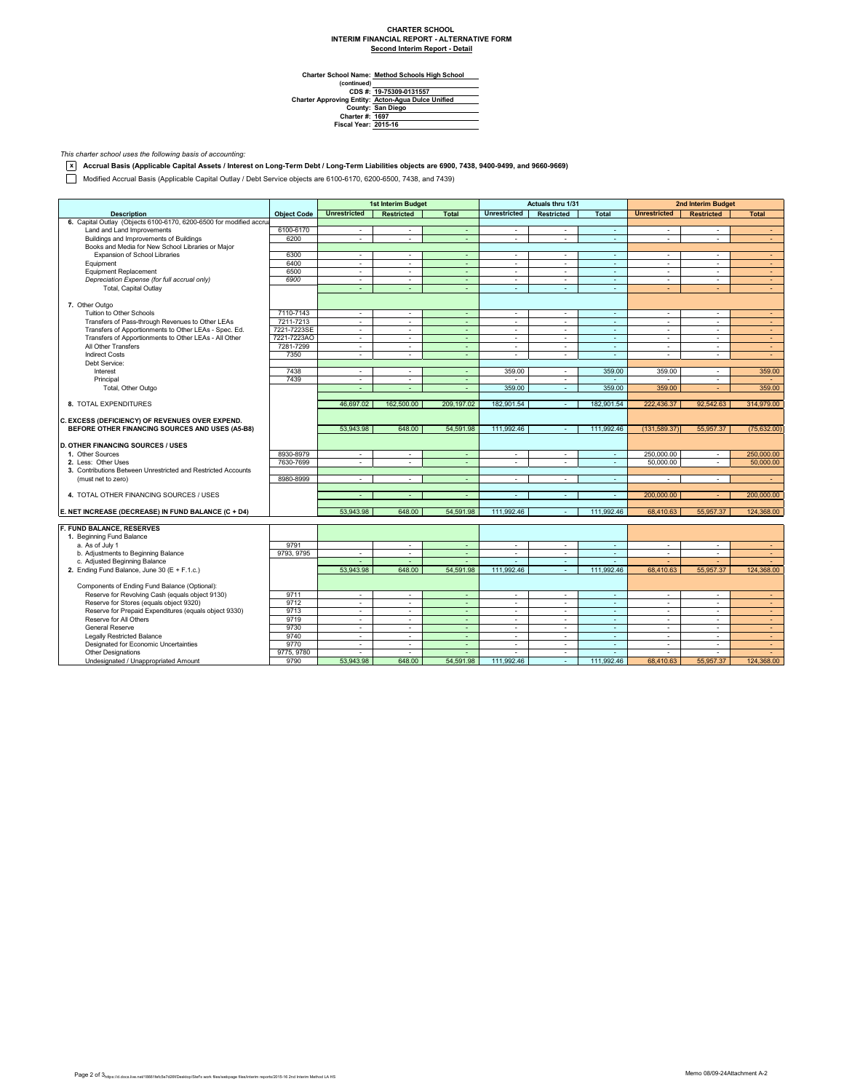## **CHARTER SCHOOL INTERIM FINANCIAL REPORT - ALTERNATIVE FORM Second Interim Report - Detail**

 $\overline{\phantom{0}}$ 

**Method Schools High School**

Charter School Name<br>
(continued)<br>
CDS #:<br>
Charter Approving Entity:<br>
County:<br>
Charter #:<br>
Fiscal Year: **San Diego 1697 2015-16 19-75309-0131557 Acton-Agua Dulce Unified**

*This charter school uses the following basis of accounting:*

**x Accrual Basis (Applicable Capital Assets / Interest on Long-Term Debt / Long-Term Liabilities objects are 6900, 7438, 9400-9499, and 9660-9669)**

Modified Accrual Basis (Applicable Capital Outlay / Debt Service objects are 6100-6170, 6200-6500, 7438, and 7439)

|                                                                     |                    | 1st Interim Budget       |                          | Actuals thru 1/31 |                          |                          | 2nd Interim Budget          |                          |                   |                          |
|---------------------------------------------------------------------|--------------------|--------------------------|--------------------------|-------------------|--------------------------|--------------------------|-----------------------------|--------------------------|-------------------|--------------------------|
| <b>Description</b>                                                  | <b>Object Code</b> | <b>Unrestricted</b>      | <b>Restricted</b>        | <b>Total</b>      | <b>Unrestricted</b>      | <b>Restricted</b>        | <b>Total</b>                | <b>Unrestricted</b>      | <b>Restricted</b> | <b>Total</b>             |
| 6. Capital Outlay (Objects 6100-6170, 6200-6500 for modified accrua |                    |                          |                          |                   |                          |                          |                             |                          |                   |                          |
| Land and Land Improvements                                          | 6100-6170          | ÷                        | $\sim$                   | $\sim$            | $\sim$                   | ×.                       | $\sim$                      | $\sim$                   | $\mathbf{r}$      | $\sim$                   |
| Buildings and Improvements of Buildings                             | 6200               | ÷                        | $\sim$                   | ÷.                | ÷                        | ÷                        | ×.                          | ÷.                       | ä,                | $\sim$                   |
| Books and Media for New School Libraries or Major                   |                    |                          |                          |                   |                          |                          |                             |                          |                   |                          |
| Expansion of School Libraries                                       | 6300               | ÷                        | $\sim$                   | $\blacksquare$    | $\sim$                   | ×.                       | ×.                          | ×                        | ä,                | $\sim$                   |
| Equipment                                                           | 6400               | $\mathbf{r}$             | $\sim$                   | ÷.                | $\sim$                   | ÷                        | ×.                          | ÷.                       | ÷.                | $\sim$                   |
| <b>Equipment Replacement</b>                                        | 6500               | $\sim$                   | $\sim$                   | ÷                 | $\overline{\phantom{a}}$ | $\sim$                   | $\sim$                      | $\overline{\phantom{a}}$ | ٠                 | $\sim$                   |
| Depreciation Expense (for full accrual only)                        | 6900               | $\sim$                   | $\sim$                   | $\blacksquare$    | $\blacksquare$           | $\overline{\phantom{a}}$ | $\sim$                      | $\overline{\phantom{a}}$ | ٠                 | $\sim$                   |
| Total, Capital Outlay                                               |                    | ÷                        | ÷                        | ÷.                | ÷                        | ÷.                       | ä,                          | ÷                        |                   | $\sim$                   |
|                                                                     |                    |                          |                          |                   |                          |                          |                             |                          |                   |                          |
| 7. Other Outgo                                                      |                    |                          |                          |                   |                          |                          |                             |                          |                   |                          |
| Tuition to Other Schools                                            | 7110-7143          | ÷                        | $\sim$                   | ÷                 | ÷                        | $\sim$                   | ÷.                          | $\Delta$                 | ÷                 | $\overline{\phantom{a}}$ |
| Transfers of Pass-through Revenues to Other LEAs                    | 7211-7213          | $\sim$                   | $\sim$                   | $\sim$            | $\overline{\phantom{a}}$ | $\sim$                   | $\sim$                      | $\overline{\phantom{a}}$ | $\sim$            | $\sim$                   |
| Transfers of Apportionments to Other LEAs - Spec. Ed.               | 7221-7223SE        | ÷.                       | $\sim$                   | $\sim$            | $\sim$                   | $\sim$                   | $\sim$                      | $\overline{a}$           | ÷.                | $\sim$                   |
| Transfers of Apportionments to Other LEAs - All Other               | 7221-7223AO        | ÷.                       | $\sim$                   | ÷.                | ä,                       | ÷.                       | $\sim$                      | $\sim$                   | ÷                 | ÷.                       |
| All Other Transfers                                                 | 7281-7299          | $\sim$                   | $\sim$                   | $\sim$            | $\sim$                   | $\sim$                   | $\sim$                      | $\sim$                   | ٠                 | $\sim$                   |
| <b>Indirect Costs</b>                                               | 7350               | $\sim$                   | $\sim$                   | $\sim$            | $\overline{\phantom{a}}$ | $\sim$                   | $\sim$                      | $\Delta$                 | ÷.                | $\sim$                   |
| Debt Service:                                                       |                    |                          |                          |                   |                          |                          |                             |                          |                   |                          |
| Interest                                                            | 7438               | $\sim$                   | $\sim$                   | $\sim$            | 359.00                   | $\sim$                   | 359.00                      | 359.00                   | $\sim$            | 359.00                   |
| Principal                                                           | 7439               | $\sim$                   | $\sim$                   | $\sim$            |                          | $\sim$                   | $\sim$                      |                          | ٠                 | $\overline{\phantom{a}}$ |
|                                                                     |                    | ÷                        | ÷.                       | $\omega$          | 359.00                   | ÷.                       | 359.00                      | 359.00                   | ÷                 | 359.00                   |
| Total, Other Outgo                                                  |                    |                          |                          |                   |                          |                          |                             |                          |                   |                          |
| 8. TOTAL EXPENDITURES                                               |                    | 46,697.02                | 162,500.00               | 209,197.02        | 182,901.54               | $\sim$                   | 182,901.54                  | 222,436.37               | 92,542.63         | 314,979.00               |
|                                                                     |                    |                          |                          |                   |                          |                          |                             |                          |                   |                          |
| C. EXCESS (DEFICIENCY) OF REVENUES OVER EXPEND.                     |                    |                          |                          |                   |                          |                          |                             |                          |                   |                          |
| BEFORE OTHER FINANCING SOURCES AND USES (A5-B8)                     |                    | 53.943.98                | 648.00                   | 54,591.98         | 111,992.46               | ÷.                       | 111,992.46                  | (131.589.37)             | 55,957.37         | (75, 632.00)             |
|                                                                     |                    |                          |                          |                   |                          |                          |                             |                          |                   |                          |
| <b>D. OTHER FINANCING SOURCES / USES</b>                            |                    |                          |                          |                   |                          |                          |                             |                          |                   |                          |
| 1. Other Sources                                                    | 8930-8979          | $\sim$                   | $\sim$                   | ÷                 | $\blacksquare$           | $\sim$                   | $\mathcal{L}_{\mathcal{C}}$ | 250.000.00               | $\sim$            | 250,000,00               |
| 2. Less: Other Uses                                                 | 7630-7699          | ÷                        | $\sim$                   | $\sim$            | ÷.                       | $\sim$                   | ×.                          | 50,000.00                | ÷                 | 50,000.00                |
| 3. Contributions Between Unrestricted and Restricted Accounts       |                    |                          |                          |                   |                          |                          |                             |                          |                   |                          |
| (must net to zero)                                                  | 8980-8999          | $\sim$                   | $\sim$                   | ٠                 | $\blacksquare$           | $\sim$                   | $\overline{\phantom{a}}$    | $\Delta$                 | $\mathbf{r}$      | $\sim$                   |
|                                                                     |                    |                          |                          |                   |                          |                          |                             |                          |                   |                          |
| 4. TOTAL OTHER FINANCING SOURCES / USES                             |                    | $\overline{\phantom{a}}$ | $\sim$                   | ٠                 | $\sim$                   | ÷.                       | $\sim$                      | 200,000.00               |                   | 200,000.00               |
|                                                                     |                    |                          |                          |                   |                          |                          |                             |                          |                   |                          |
| E. NET INCREASE (DECREASE) IN FUND BALANCE (C + D4)                 |                    | 53,943.98                | 648.00                   | 54,591.98         | 111,992.46               |                          | 111,992.46                  | 68,410.63                | 55,957.37         | 124,368.00               |
|                                                                     |                    |                          |                          |                   |                          |                          |                             |                          |                   |                          |
| F. FUND BALANCE, RESERVES                                           |                    |                          |                          |                   |                          |                          |                             |                          |                   |                          |
| 1. Beginning Fund Balance                                           |                    |                          |                          |                   |                          |                          |                             |                          |                   |                          |
| a. As of July 1                                                     | 9791               |                          | $\sim$                   | ÷                 | $\overline{\phantom{a}}$ | $\sim$                   | $\sim$                      | $\sim$                   | ٠                 | $\sim$                   |
| b. Adjustments to Beginning Balance                                 | 9793, 9795         | $\sim$                   | $\sim$                   | ä,                | $\overline{\phantom{a}}$ | $\overline{\phantom{a}}$ | $\omega$                    | $\mathbf{r}$             | ÷.                | ÷                        |
| c. Adjusted Beginning Balance                                       |                    | $\sim$                   | $\sim$                   | $\sim$            | $\sim$                   | $\sim$                   | $\sim$                      | $\overline{a}$           | ÷                 | $\sim$                   |
| 2. Ending Fund Balance, June 30 (E + F.1.c.)                        |                    | 53.943.98                | 648.00                   | 54.591.98         | 111.992.46               | $\sim$                   | 111.992.46                  | 68,410.63                | 55,957.37         | 124,368.00               |
|                                                                     |                    |                          |                          |                   |                          |                          |                             |                          |                   |                          |
| Components of Ending Fund Balance (Optional):                       |                    |                          |                          |                   |                          |                          |                             |                          |                   |                          |
| Reserve for Revolving Cash (equals object 9130)                     | 9711               | ×.                       | $\sim$                   | ÷.                | $\sim$                   | ×.                       | $\sim$                      | $\sim$                   | ÷                 | $\sim$                   |
| Reserve for Stores (equals object 9320)                             | 9712               | $\sim$                   | $\overline{\phantom{a}}$ | ÷.                | $\overline{\phantom{a}}$ | $\overline{\phantom{a}}$ | $\omega$                    | $\blacksquare$           | ٠                 | ÷                        |
| Reserve for Prepaid Expenditures (equals object 9330)               | 9713               | $\overline{\phantom{a}}$ | $\sim$                   | ÷                 | $\sim$                   | $\sim$                   | $\sim$                      | $\sim$                   | ÷.                | $\sim$                   |
| Reserve for All Others                                              | 9719               | ×.                       | $\sim$                   | ÷.                | $\sim$                   | $\sim$                   | $\sim$                      | $\sim$                   | ÷                 | $\sim$                   |
| <b>General Reserve</b>                                              | 9730               | ×.                       | $\sim$                   | ä,                | ä,                       | $\sim$                   | $\sim$                      | $\blacksquare$           | ٠                 | $\sim$                   |
| <b>Legally Restricted Balance</b>                                   | 9740               | $\sim$                   | $\sim$                   | $\sim$            | $\sim$                   | $\sim$                   | $\sim$                      | $\sim$                   | $\sim$            | $\sim$                   |
| Designated for Economic Uncertainties                               | 9770               | $\sim$                   | $\sim$                   | $\sim$            | $\overline{\phantom{a}}$ | $\sim$                   | $\sim$                      | $\sim$                   | ٠                 | $\sim$                   |
| <b>Other Designations</b>                                           | 9775, 9780         |                          | ÷.                       |                   |                          | $\sim$                   | ÷.                          |                          |                   |                          |
| Undesignated / Unappropriated Amount                                | 9790               | 53.943.98                | 648.00                   | 54,591.98         | 111.992.46               | $\sim$                   | 111.992.46                  | 68.410.63                | 55.957.37         | 124,368.00               |